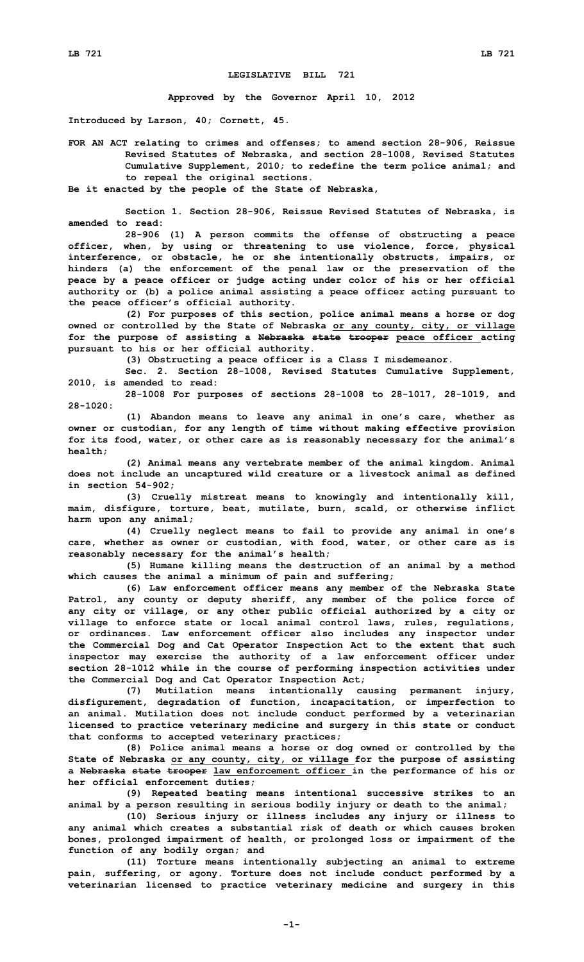## **LEGISLATIVE BILL 721**

**Approved by the Governor April 10, 2012**

**Introduced by Larson, 40; Cornett, 45.**

**FOR AN ACT relating to crimes and offenses; to amend section 28-906, Reissue Revised Statutes of Nebraska, and section 28-1008, Revised Statutes Cumulative Supplement, 2010; to redefine the term police animal; and to repeal the original sections.**

**Be it enacted by the people of the State of Nebraska,**

**Section 1. Section 28-906, Reissue Revised Statutes of Nebraska, is amended to read:**

**28-906 (1) <sup>A</sup> person commits the offense of obstructing <sup>a</sup> peace officer, when, by using or threatening to use violence, force, physical interference, or obstacle, he or she intentionally obstructs, impairs, or hinders (a) the enforcement of the penal law or the preservation of the peace by <sup>a</sup> peace officer or judge acting under color of his or her official authority or (b) <sup>a</sup> police animal assisting <sup>a</sup> peace officer acting pursuant to the peace officer's official authority.**

**(2) For purposes of this section, police animal means <sup>a</sup> horse or dog owned or controlled by the State of Nebraska or any county, city, or village for the purpose of assisting <sup>a</sup> Nebraska state trooper peace officer acting pursuant to his or her official authority.**

**(3) Obstructing <sup>a</sup> peace officer is <sup>a</sup> Class <sup>I</sup> misdemeanor.**

**Sec. 2. Section 28-1008, Revised Statutes Cumulative Supplement, 2010, is amended to read:**

**28-1008 For purposes of sections 28-1008 to 28-1017, 28-1019, and 28-1020:**

**(1) Abandon means to leave any animal in one's care, whether as owner or custodian, for any length of time without making effective provision for its food, water, or other care as is reasonably necessary for the animal's health;**

**(2) Animal means any vertebrate member of the animal kingdom. Animal does not include an uncaptured wild creature or <sup>a</sup> livestock animal as defined in section 54-902;**

**(3) Cruelly mistreat means to knowingly and intentionally kill, maim, disfigure, torture, beat, mutilate, burn, scald, or otherwise inflict harm upon any animal;**

**(4) Cruelly neglect means to fail to provide any animal in one's care, whether as owner or custodian, with food, water, or other care as is reasonably necessary for the animal's health;**

**(5) Humane killing means the destruction of an animal by <sup>a</sup> method which causes the animal <sup>a</sup> minimum of pain and suffering;**

**(6) Law enforcement officer means any member of the Nebraska State Patrol, any county or deputy sheriff, any member of the police force of any city or village, or any other public official authorized by <sup>a</sup> city or village to enforce state or local animal control laws, rules, regulations, or ordinances. Law enforcement officer also includes any inspector under the Commercial Dog and Cat Operator Inspection Act to the extent that such inspector may exercise the authority of <sup>a</sup> law enforcement officer under section 28-1012 while in the course of performing inspection activities under the Commercial Dog and Cat Operator Inspection Act;**

**(7) Mutilation means intentionally causing permanent injury, disfigurement, degradation of function, incapacitation, or imperfection to an animal. Mutilation does not include conduct performed by <sup>a</sup> veterinarian licensed to practice veterinary medicine and surgery in this state or conduct that conforms to accepted veterinary practices;**

**(8) Police animal means <sup>a</sup> horse or dog owned or controlled by the State of Nebraska or any county, city, or village for the purpose of assisting <sup>a</sup> Nebraska state trooper law enforcement officer in the performance of his or her official enforcement duties;**

**(9) Repeated beating means intentional successive strikes to an animal by <sup>a</sup> person resulting in serious bodily injury or death to the animal;**

**(10) Serious injury or illness includes any injury or illness to any animal which creates <sup>a</sup> substantial risk of death or which causes broken bones, prolonged impairment of health, or prolonged loss or impairment of the function of any bodily organ; and**

**(11) Torture means intentionally subjecting an animal to extreme pain, suffering, or agony. Torture does not include conduct performed by <sup>a</sup> veterinarian licensed to practice veterinary medicine and surgery in this**